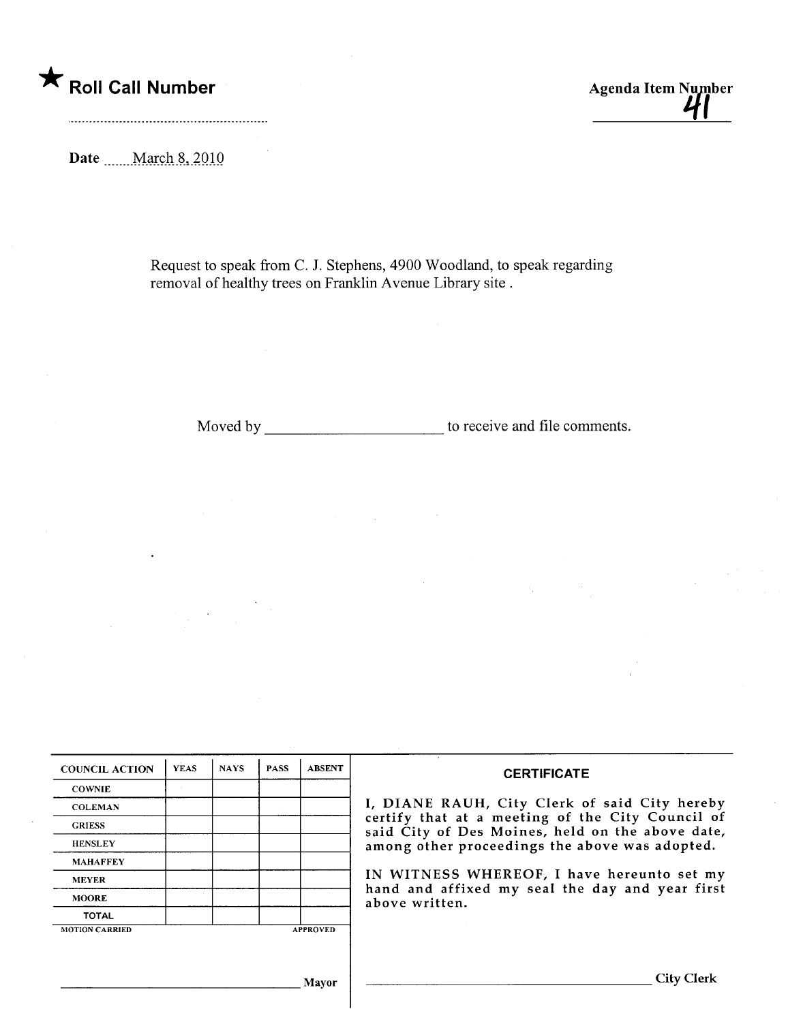\* Roll Call Number Agenda Item Number

Date mathematics March 8, 2010

Request to speak from C. J. Stephens, 4900 Woodland, to speak regarding removal of healthy trees on Franklin Avenue Library site.

Moved by to receive and file comments.

 $\mathcal{O}(\mathcal{E}_\mathbf{z})$  .

| <b>COUNCIL ACTION</b> | <b>YEAS</b> | <b>NAYS</b> | <b>PASS</b> | <b>ABSENT</b>   | <b>CERTIFICATE</b>                                                                                   |  |  |  |
|-----------------------|-------------|-------------|-------------|-----------------|------------------------------------------------------------------------------------------------------|--|--|--|
| <b>COWNIE</b>         |             |             |             |                 | I, DIANE RAUH, City Clerk of said City hereby                                                        |  |  |  |
| <b>COLEMAN</b>        |             |             |             |                 |                                                                                                      |  |  |  |
| <b>GRIESS</b>         |             |             |             |                 | certify that at a meeting of the City Council of<br>said City of Des Moines, held on the above date, |  |  |  |
| <b>HENSLEY</b>        |             |             |             |                 | among other proceedings the above was adopted.                                                       |  |  |  |
| <b>MAHAFFEY</b>       |             |             |             |                 |                                                                                                      |  |  |  |
| <b>MEYER</b>          |             |             |             |                 | IN WITNESS WHEREOF, I have hereunto set my                                                           |  |  |  |
| <b>MOORE</b>          |             |             |             |                 | hand and affixed my seal the day and year first<br>above written.                                    |  |  |  |
| <b>TOTAL</b>          |             |             |             |                 |                                                                                                      |  |  |  |
| <b>MOTION CARRIED</b> |             |             |             | <b>APPROVED</b> |                                                                                                      |  |  |  |
|                       |             |             |             |                 |                                                                                                      |  |  |  |
|                       |             |             |             |                 |                                                                                                      |  |  |  |
|                       |             |             |             |                 |                                                                                                      |  |  |  |